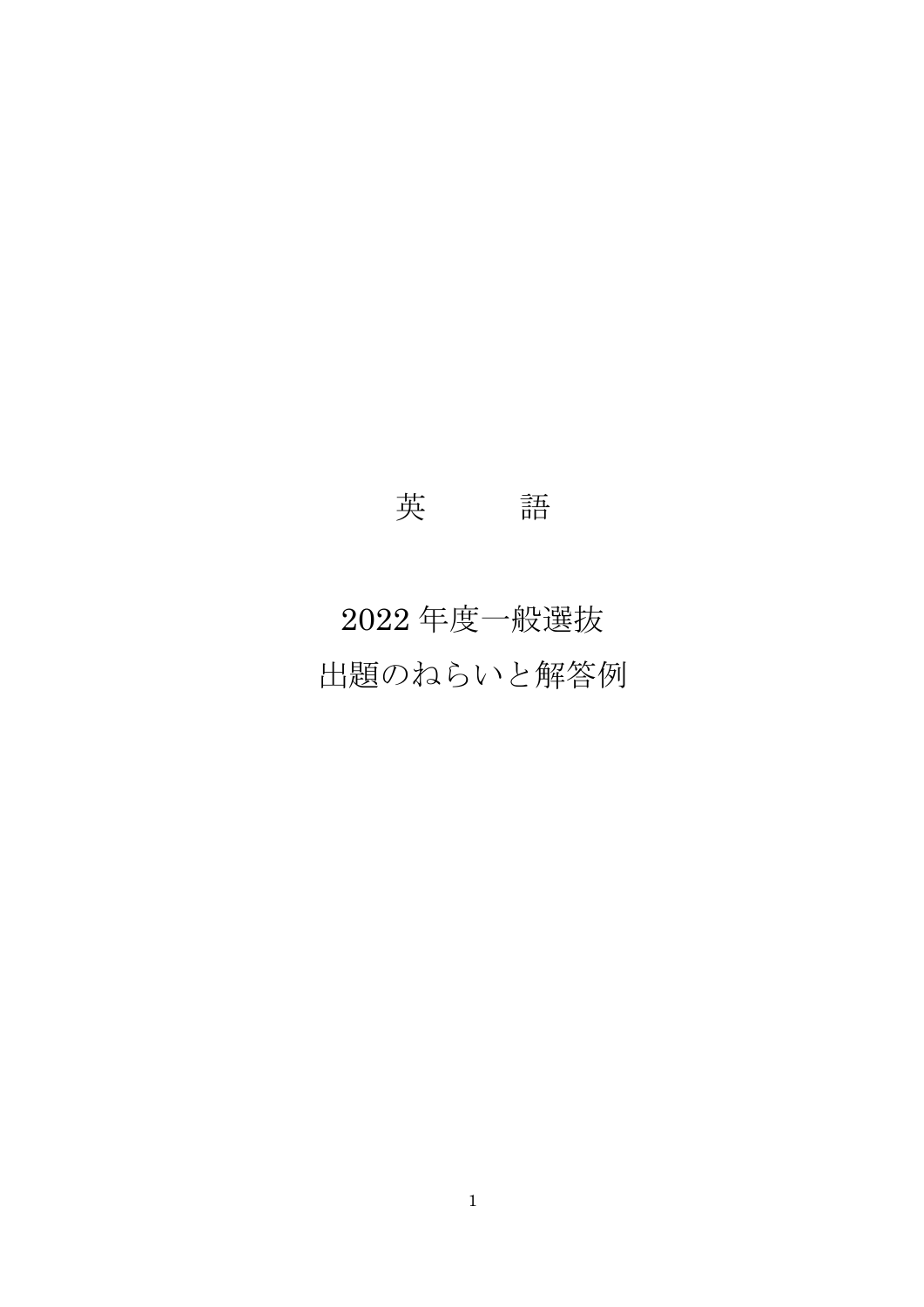# 英 語

# 2022 年度一般選抜 出題のねらいと解答例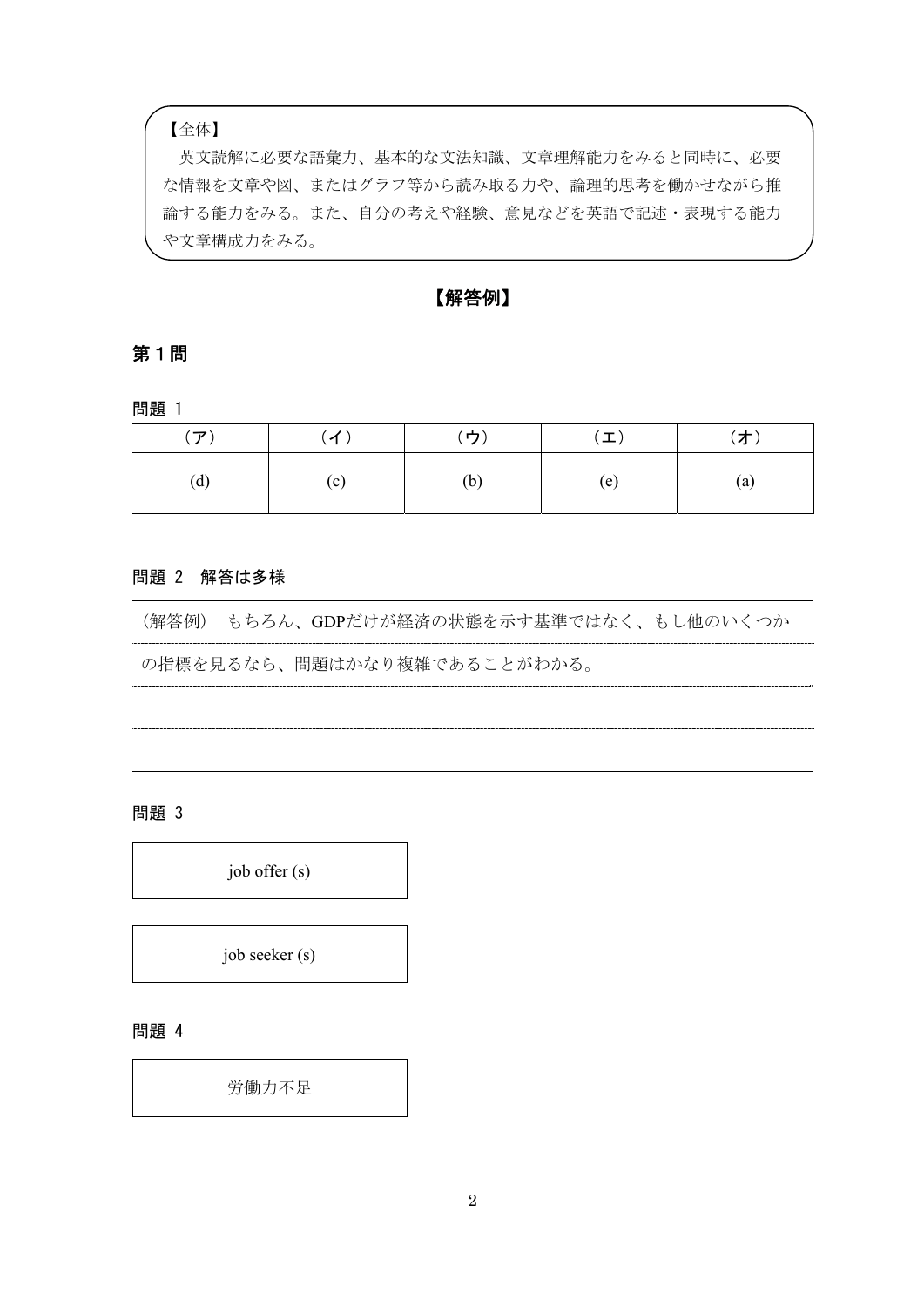【全体】

英文読解に必要な語彙力、基本的な文法知識、文章理解能力をみると同時に、必要 な情報を文章や図、またはグラフ等から読み取る力や、論理的思考を働かせながら推 論する能力をみる。また、自分の考えや経験、意見などを英語で記述・表現する能力 や文章構成力をみる。

【解答例】

### 第1問

問題 1

| $(\mathcal{F})$ | (1) | (ウ) | $(\boldsymbol{\bot})$ | (才) |
|-----------------|-----|-----|-----------------------|-----|
| (d)             | (c) | (b) | (e)                   | (a) |

#### 問題 2 解答は多様

| (解答例) もちろん、GDPだけが経済の状熊を示す基準ではなく、もし他のいくつか |
|------------------------------------------|
| の指標を見るなら、問題はかなり複雑であることがわかる。              |
|                                          |
|                                          |

問題 3

job offer (s)

job seeker (s)

問題 4

労働力不足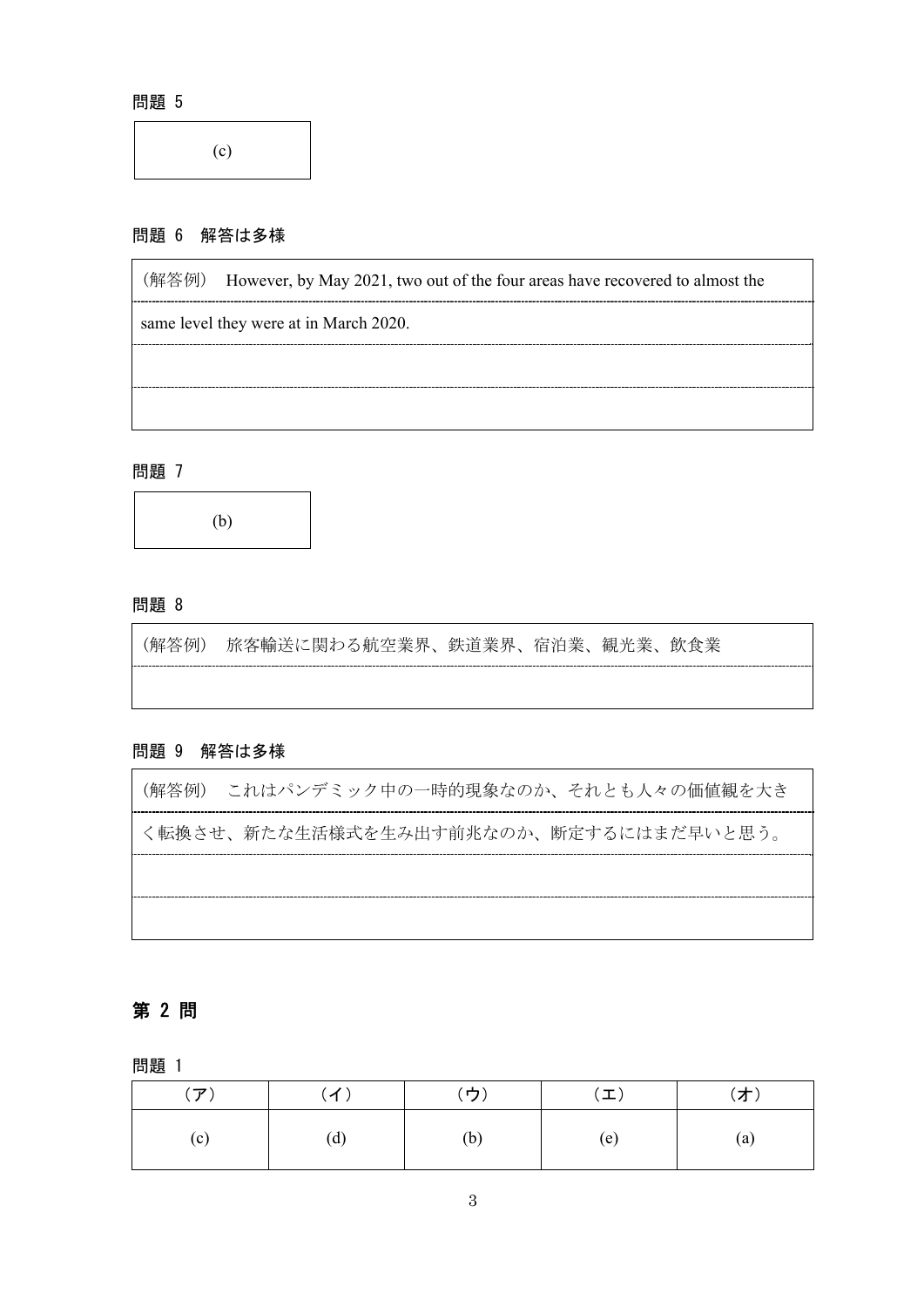(c)

#### 問題 6 解答は多様

(解答例) However, by May 2021, two out of the four areas have recovered to almost the same level they were at in March 2020.

#### 問題 7

(b)

#### 問題 8

(解答例) 旅客輸送に関わる航空業界、鉄道業界、宿泊業、観光業、飲食業

#### 問題 9 解答は多様

(解答例) これはパンデミック中の一時的現象なのか、それとも人々の価値観を大き く転換させ、新たな生活様式を生み出す前兆なのか、断定するにはまだ早いと思う。

## 第 2 問

問題 1

| $(\mathcal{F})$ |     | (イ)       (ウ) | $(\bot)$ | (才)               |
|-----------------|-----|---------------|----------|-------------------|
| (c)             | (d) | (b)           | (e)      | $\left( a\right)$ |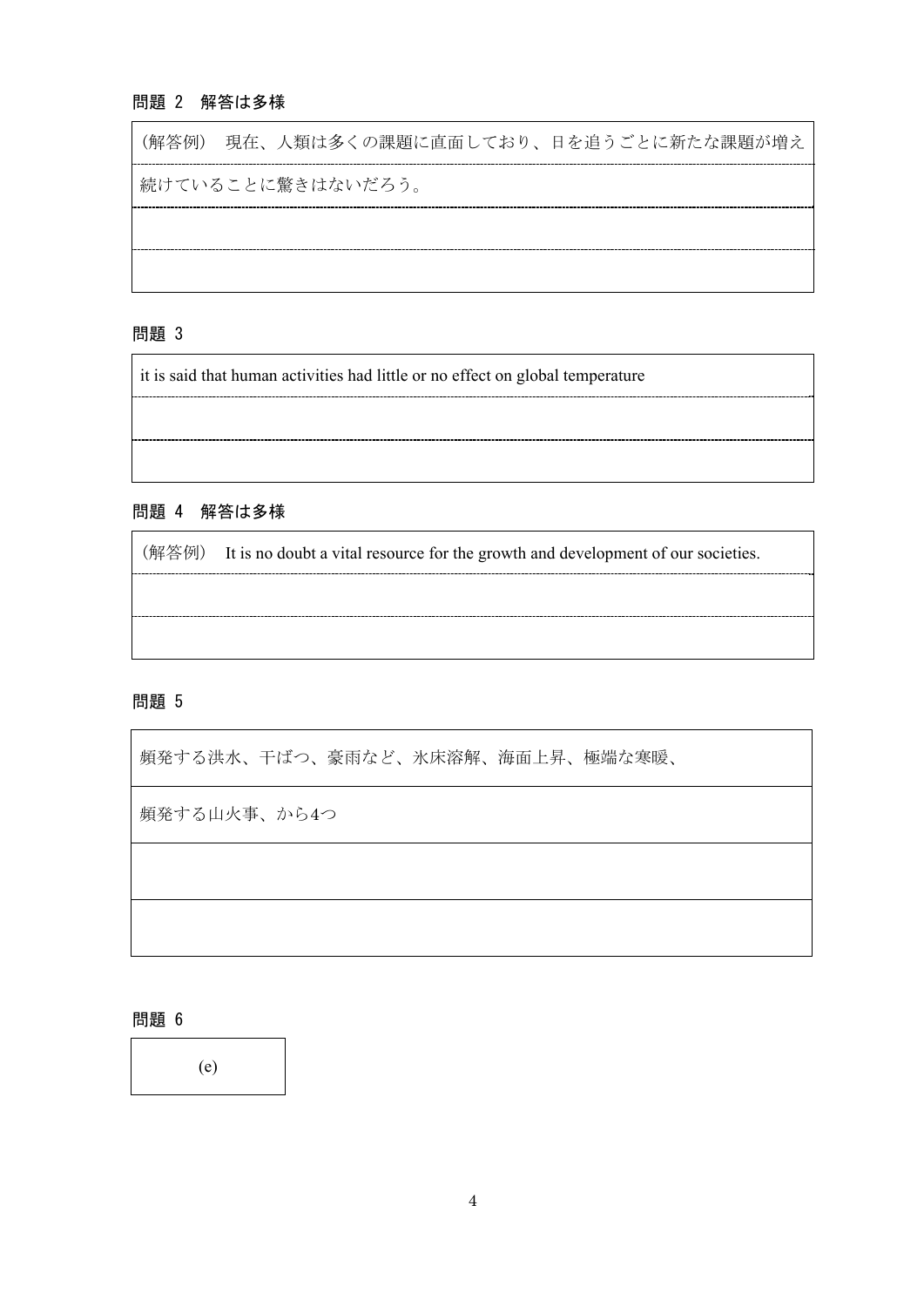# 問題 2 解答は多様

(解答例) 現在、人類は多くの課題に直面しており、日を追うごとに新たな課題が増え 続けていることに驚きはないだろう。

# 問題 3

it is said that human activities had little or no effect on global temperature

# 問題 4 解答は多様

(解答例) It is no doubt a vital resource for the growth and development of our societies.

#### 問題 5

 $\mathsf{r}$ 

| 頻発する洪水、干ばつ、豪雨など、氷床溶解、海面上昇、極端な寒暖、 |
|----------------------------------|
| 頻発する山火事、から4つ                     |
|                                  |
|                                  |

問題 6

(e)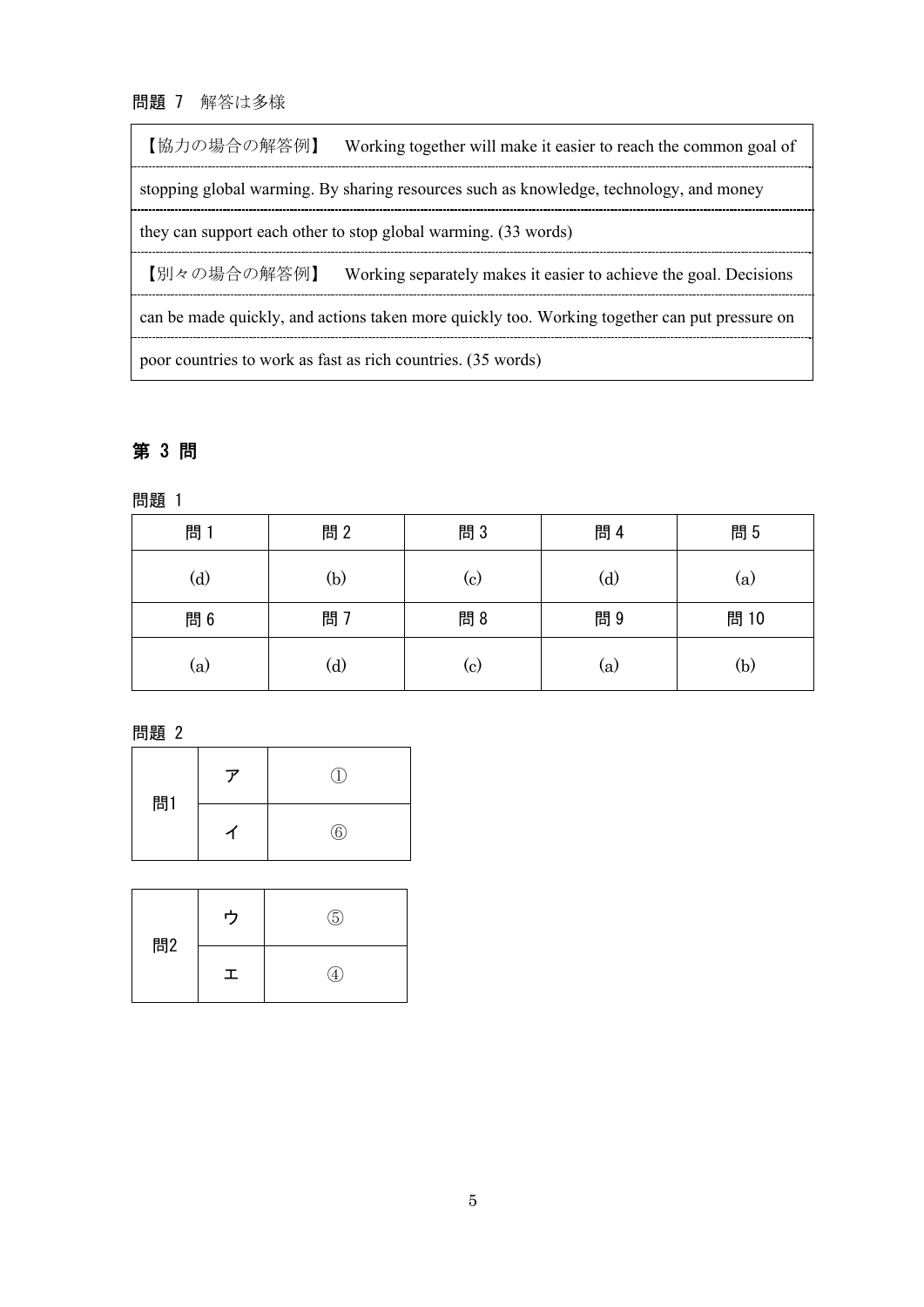# 問題 7 解答は多様

 $\mathbf{r}$ 

| 【協力の場合の解答例】                                                                                   | Working together will make it easier to reach the common goal of                       |  |  |  |
|-----------------------------------------------------------------------------------------------|----------------------------------------------------------------------------------------|--|--|--|
|                                                                                               | stopping global warming. By sharing resources such as knowledge, technology, and money |  |  |  |
| they can support each other to stop global warming. (33 words)                                |                                                                                        |  |  |  |
| 【別々の場合の解答例】                                                                                   | Working separately makes it easier to achieve the goal. Decisions                      |  |  |  |
| can be made quickly, and actions taken more quickly too. Working together can put pressure on |                                                                                        |  |  |  |
| poor countries to work as fast as rich countries. (35 words)                                  |                                                                                        |  |  |  |

# 第 3 問

問題 1

| 問1  | 問2           | 問3  | 問 4          | 問5   |
|-----|--------------|-----|--------------|------|
| (d) | (b)          | (c) | $\rm _{(d)}$ | (a)  |
| 問 6 | 問 7          | 問8  | 問9           | 問 10 |
| (a) | $\rm _{(d)}$ | (c) | (a)          | (b)  |

問題 2

| 問1 | ۰. | Η.           |
|----|----|--------------|
|    |    | $^\circledR$ |

| 問2 | ヮ | (5) |
|----|---|-----|
|    | 工 |     |